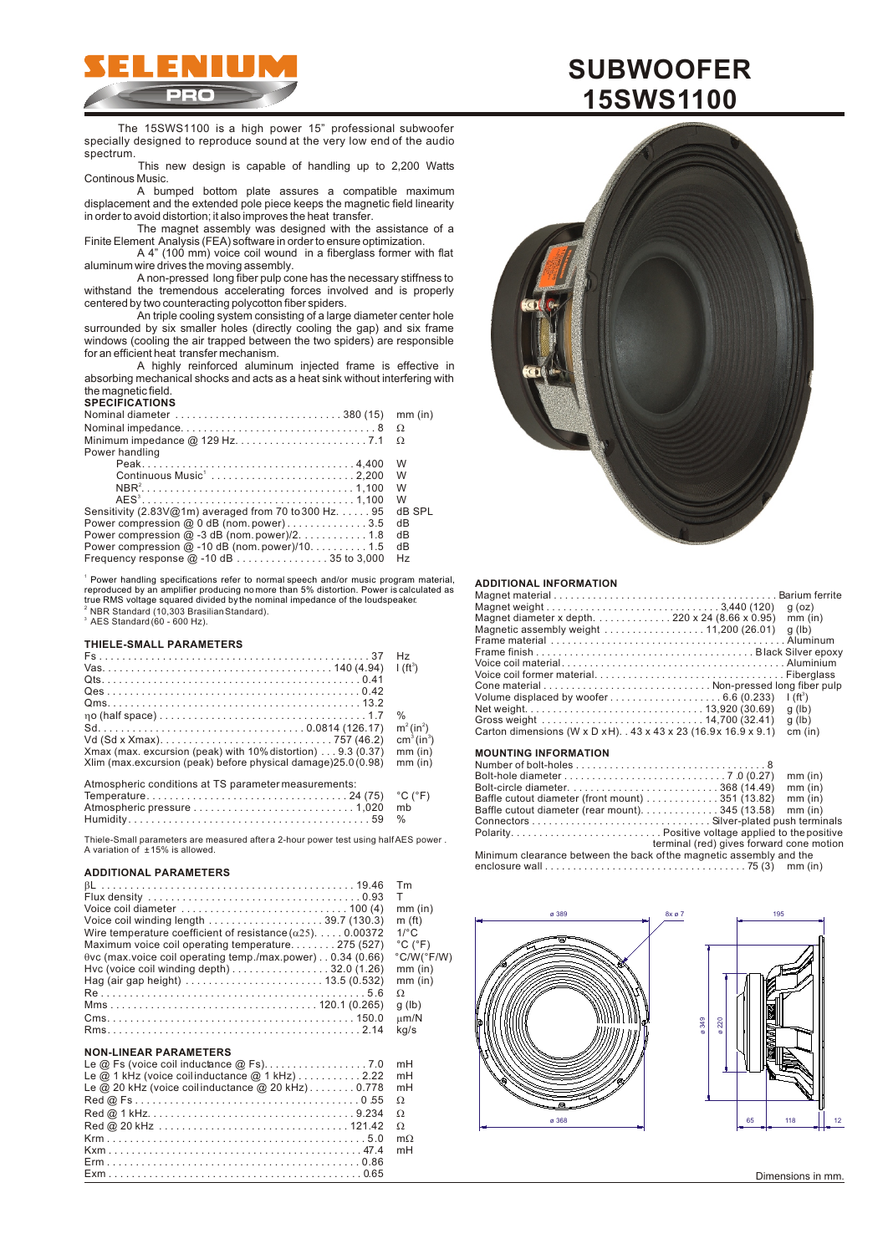

The 15SWS1100 is a high power 15" professional subwoofer specially designed to reproduce sound at the very low end of the audio spectrum.

This new design is capable of handling up to 2,200 Watts Continous Music.

A bumped bottom plate assures a compatible maximum displacement and the extended pole piece keeps the magnetic field linearity in order to avoid distortion; it also improves the heat transfer.

The magnet assembly was designed with the assistance of a Finite Element Analysis (FEA) software in order to ensure optimization.

A 4" (100 mm) voice coil wound in a fiberglass former with flat aluminum wire drives the moving assembly.

A non-pressed long fiber pulp cone has the necessary stiffness to withstand the tremendous accelerating forces involved and is properly centered by two counteracting polycotton fiber spiders.

An triple cooling system consisting of a large diameter center hole surrounded by six smaller holes (directly cooling the gap) and six frame windows (cooling the air trapped between the two spiders) are responsible for an efficient heat transfer mechanism.

A highly reinforced aluminum injected frame is effective in absorbing mechanical shocks and acts as a heat sink without interfering with the magnetic field.

### **SPECIFICATIONS**

|                                                       | mm (in) |
|-------------------------------------------------------|---------|
|                                                       |         |
|                                                       |         |
| Power handling                                        |         |
|                                                       | W       |
| Continuous Music <sup>1</sup> 2,200                   | W       |
|                                                       | W       |
|                                                       | W       |
| Sensitivity (2.83V@1m) averaged from 70 to 300 Hz. 95 | dB SPL  |
| Power compression @ 0 dB (nom.power)3.5               | dB      |
| Power compression $@-3$ dB (nom.power)/2. 1.8         | dB      |
| Power compression $@-10$ dB (nom. power)/10. 1.5      | dB      |
| Frequency response $@-10 dB$ 35 to 3,000              | Hz      |

1 Power handling specifications refer to normal speech and/or music program material, reproduced by an amplifier producing no more than 5% distortion. Power is calculated as true RMS voltage squared divided by the nominal impedance of the loudspeaker.<br><sup>2</sup> NBR Standard (10,303 Brasilian Standard). <sup>3</sup> AES Standard (60 - 600 Hz).

### **THIELE-SMALL PARAMETERS**

|                                                                | H <sub>z</sub>                     |
|----------------------------------------------------------------|------------------------------------|
|                                                                | 1(f <sup>3</sup> )                 |
|                                                                |                                    |
|                                                                |                                    |
|                                                                |                                    |
|                                                                | $\%$                               |
|                                                                | $m^2 (in^2)$                       |
|                                                                | cm <sup>3</sup> (in <sup>3</sup> ) |
| Xmax (max. excursion (peak) with 10% distortion) 9.3 (0.37)    | $mm$ (in)                          |
| Xlim (max.excursion (peak) before physical damage) 25.0 (0.98) | $mm$ (in)                          |
|                                                                |                                    |
| Atmospheric conditions at TS parameter measurements:           |                                    |
|                                                                | $^{\circ}$ C ( $^{\circ}$ F)       |

Thiele-Small parameters are measured aftera 2-hour power test using half AES power .<br>A variation of ±15% is allowed.

### **ADDITIONAL PARAMETERS**

|                                                                                    | Tm                           |
|------------------------------------------------------------------------------------|------------------------------|
|                                                                                    |                              |
| Voice coil diameter $\dots\dots\dots\dots\dots\dots\dots\dots\dots$ 100 (4)        | $mm$ (in)                    |
| Voice coil winding length $\ldots \ldots \ldots \ldots \ldots \ldots 39.7$ (130.3) | m(f <sub>t</sub> )           |
| Wire temperature coefficient of resistance $($ , $)$ , $\ldots$ , 0.00372          | $1$ <sup>o</sup> $\sim$      |
| Maximum voice coil operating temperature275 (527)                                  | $^{\circ}$ C ( $^{\circ}$ F) |
| vc (max.voice coil operating temp./max.power) 0.34 (0.66)                          | $°C/W(^{\circ}F/W)$          |
| Hvc (voice coil winding depth)32.0 $(1.26)$                                        | $mm$ (in)                    |
|                                                                                    | $mm$ (in)                    |
|                                                                                    |                              |
|                                                                                    | q (lb)                       |
|                                                                                    | m/N                          |
|                                                                                    | ka/s                         |
|                                                                                    |                              |

### **NON-LINEAR PARAMETERS**

| Le $@$ 1 kHz (voice coilinductance $@$ 1 kHz)  2.22  | mH |
|------------------------------------------------------|----|
| Le $@$ 20 kHz (voice coilinductance $@$ 20 kHz)0.778 | mH |
|                                                      |    |
|                                                      |    |
|                                                      |    |
|                                                      | m  |
|                                                      | mH |
|                                                      |    |
|                                                      |    |

# **SUBWOOFER 15SWS1100**



### **ADDITIONAL INFORMATION**

|                                                                                     | $q$ (oz)      |
|-------------------------------------------------------------------------------------|---------------|
| Magnet diameter x depth220 x 24 (8.66 x 0.95)                                       | $mm$ (in)     |
| Magnetic assembly weight $\ldots \ldots \ldots \ldots \ldots \ldots$ 11,200 (26.01) | $q$ (lb)      |
|                                                                                     |               |
|                                                                                     |               |
|                                                                                     |               |
|                                                                                     |               |
|                                                                                     |               |
|                                                                                     | $\int (ft^3)$ |
|                                                                                     | g(h)          |
|                                                                                     | $q$ (lb)      |
| Carton dimensions (W x D x H). . 43 x 43 x 23 (16.9 x 16.9 x 9.1)                   | cm (in)       |
| <b>MOUNTING INFORMATION</b>                                                         |               |

|                                                                                         | mm (in)   |
|-----------------------------------------------------------------------------------------|-----------|
|                                                                                         | $mm$ (in) |
| Baffle cutout diameter (front mount) $\ldots \ldots \ldots \ldots$ 351 (13.82)          | $mm$ (in) |
| Baffle cutout diameter (rear mount). 345 (13.58)                                        | $mm$ (in) |
|                                                                                         |           |
|                                                                                         |           |
| terminal (red) gives forward cone motion                                                |           |
| Minimum clearance between the back of the magnetic assembly and the                     |           |
| enclosure wall $\dots\dots\dots\dots\dots\dots\dots\dots\dots\dots\dots$ 75 (3) mm (in) |           |